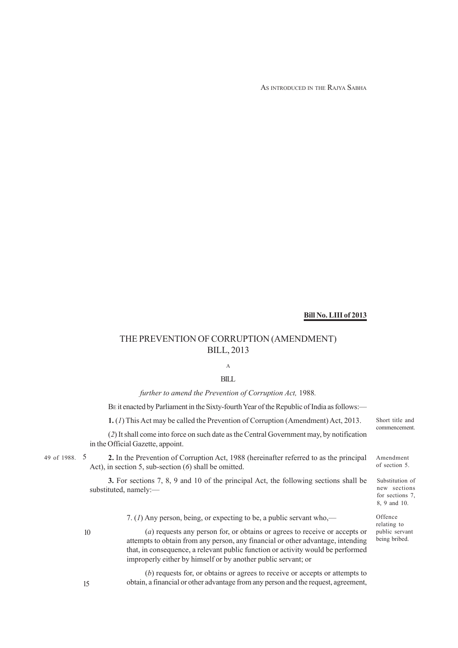AS INTRODUCED IN THE RAJYA SABHA

## **Bill No. LIII of 2013**

## THE PREVENTION OF CORRUPTION (AMENDMENT) BILL, 2013

# A

## BILL

*further to amend the Prevention of Corruption Act,* 1988*.*

BE it enacted by Parliament in the Sixty-fourth Year of the Republic of India as follows:—

**1.** (*1*) This Act may be called the Prevention of Corruption (Amendment) Act, 2013.

(*2*) It shall come into force on such date as the Central Government may, by notification in the Official Gazette, appoint.

49 of 1988. 5

49 of 1988. 5 **2.** In the Prevention of Corruption Act, 1988 (hereinafter referred to as the principal Amendment Act), in section 5, sub-section (*6*) shall be omitted.

> **3.** For sections 7, 8, 9 and 10 of the principal Act, the following sections shall be substituted, namely:—

> > 7. (*1*) Any person, being, or expecting to be, a public servant who,—

10

15

(*a*) requests any person for, or obtains or agrees to receive or accepts or attempts to obtain from any person, any financial or other advantage, intending that, in consequence, a relevant public function or activity would be performed improperly either by himself or by another public servant; or

(*b*) requests for, or obtains or agrees to receive or accepts or attempts to obtain, a financial or other advantage from any person and the request, agreement,

Short title and commencement.

of section 5.

Substitution of new sections for sections 7 8, 9 and 10.

Offence relating to public servant being bribed.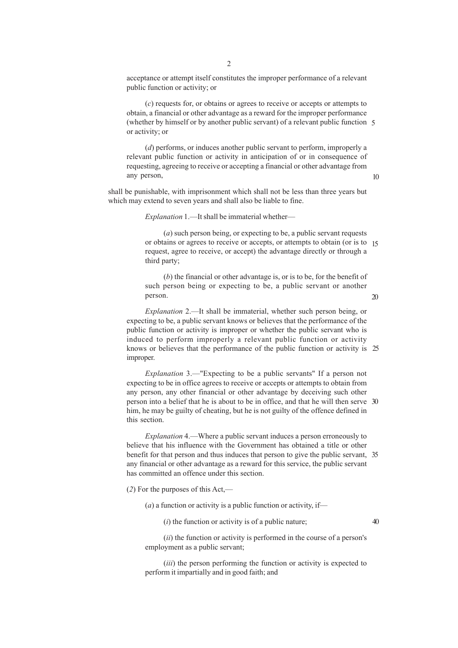acceptance or attempt itself constitutes the improper performance of a relevant public function or activity; or

(*c*) requests for, or obtains or agrees to receive or accepts or attempts to obtain, a financial or other advantage as a reward for the improper performance (whether by himself or by another public servant) of a relevant public function 5 or activity; or

(*d*) performs, or induces another public servant to perform, improperly a relevant public function or activity in anticipation of or in consequence of requesting, agreeing to receive or accepting a financial or other advantage from any person,

shall be punishable, with imprisonment which shall not be less than three years but which may extend to seven years and shall also be liable to fine.

*Explanation* 1.—It shall be immaterial whether—

(*a*) such person being, or expecting to be, a public servant requests or obtains or agrees to receive or accepts, or attempts to obtain (or is to 15 request, agree to receive, or accept) the advantage directly or through a third party;

(*b*) the financial or other advantage is, or is to be, for the benefit of such person being or expecting to be, a public servant or another person.

*Explanation* 2.—It shall be immaterial, whether such person being, or expecting to be, a public servant knows or believes that the performance of the public function or activity is improper or whether the public servant who is induced to perform improperly a relevant public function or activity knows or believes that the performance of the public function or activity is 25 improper.

*Explanation* 3.—"Expecting to be a public servants" If a person not expecting to be in office agrees to receive or accepts or attempts to obtain from any person, any other financial or other advantage by deceiving such other person into a belief that he is about to be in office, and that he will then serve 30 him, he may be guilty of cheating, but he is not guilty of the offence defined in this section.

*Explanation* 4.—Where a public servant induces a person erroneously to believe that his influence with the Government has obtained a title or other benefit for that person and thus induces that person to give the public servant, 35 any financial or other advantage as a reward for this service, the public servant has committed an offence under this section.

(*2*) For the purposes of this Act,—

 $(a)$  a function or activity is a public function or activity, if—

(*i*) the function or activity is of a public nature;

40

10

20

(*ii*) the function or activity is performed in the course of a person's employment as a public servant;

(*iii*) the person performing the function or activity is expected to perform it impartially and in good faith; and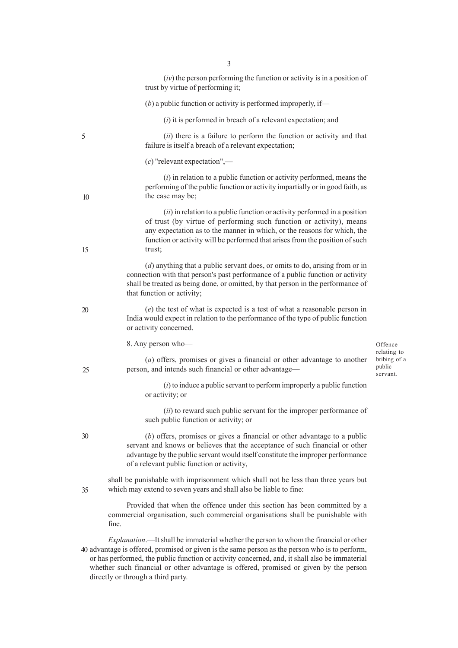|    | $(iv)$ the person performing the function or activity is in a position of<br>trust by virtue of performing it;                                                                                                                                                                                                                                                                                                                  |                                                   |
|----|---------------------------------------------------------------------------------------------------------------------------------------------------------------------------------------------------------------------------------------------------------------------------------------------------------------------------------------------------------------------------------------------------------------------------------|---------------------------------------------------|
|    | $(b)$ a public function or activity is performed improperly, if—                                                                                                                                                                                                                                                                                                                                                                |                                                   |
|    | $(i)$ it is performed in breach of a relevant expectation; and                                                                                                                                                                                                                                                                                                                                                                  |                                                   |
| 5  | (ii) there is a failure to perform the function or activity and that<br>failure is itself a breach of a relevant expectation;                                                                                                                                                                                                                                                                                                   |                                                   |
|    | $(c)$ "relevant expectation",—                                                                                                                                                                                                                                                                                                                                                                                                  |                                                   |
| 10 | $(i)$ in relation to a public function or activity performed, means the<br>performing of the public function or activity impartially or in good faith, as<br>the case may be;                                                                                                                                                                                                                                                   |                                                   |
| 15 | (ii) in relation to a public function or activity performed in a position<br>of trust (by virtue of performing such function or activity), means<br>any expectation as to the manner in which, or the reasons for which, the<br>function or activity will be performed that arises from the position of such<br>trust;                                                                                                          |                                                   |
|    | $(d)$ anything that a public servant does, or omits to do, arising from or in<br>connection with that person's past performance of a public function or activity<br>shall be treated as being done, or omitted, by that person in the performance of<br>that function or activity;                                                                                                                                              |                                                   |
| 20 | (e) the test of what is expected is a test of what a reasonable person in<br>India would expect in relation to the performance of the type of public function<br>or activity concerned.                                                                                                                                                                                                                                         |                                                   |
|    | 8. Any person who-                                                                                                                                                                                                                                                                                                                                                                                                              | Offence                                           |
| 25 | $(a)$ offers, promises or gives a financial or other advantage to another<br>person, and intends such financial or other advantage-                                                                                                                                                                                                                                                                                             | relating to<br>bribing of a<br>public<br>servant. |
|    | $(i)$ to induce a public servant to perform improperly a public function<br>or activity; or                                                                                                                                                                                                                                                                                                                                     |                                                   |
|    | ( <i>ii</i> ) to reward such public servant for the improper performance of<br>such public function or activity; or                                                                                                                                                                                                                                                                                                             |                                                   |
| 30 | (b) offers, promises or gives a financial or other advantage to a public<br>servant and knows or believes that the acceptance of such financial or other<br>advantage by the public servant would itself constitute the improper performance<br>of a relevant public function or activity,                                                                                                                                      |                                                   |
| 35 | shall be punishable with imprisonment which shall not be less than three years but<br>which may extend to seven years and shall also be liable to fine:                                                                                                                                                                                                                                                                         |                                                   |
|    | Provided that when the offence under this section has been committed by a<br>commercial organisation, such commercial organisations shall be punishable with<br>fine.                                                                                                                                                                                                                                                           |                                                   |
|    | <i>Explanation</i> .—It shall be immaterial whether the person to whom the financial or other<br>40 advantage is offered, promised or given is the same person as the person who is to perform,<br>or has performed, the public function or activity concerned, and, it shall also be immaterial<br>whether such financial or other advantage is offered, promised or given by the person<br>directly or through a third party. |                                                   |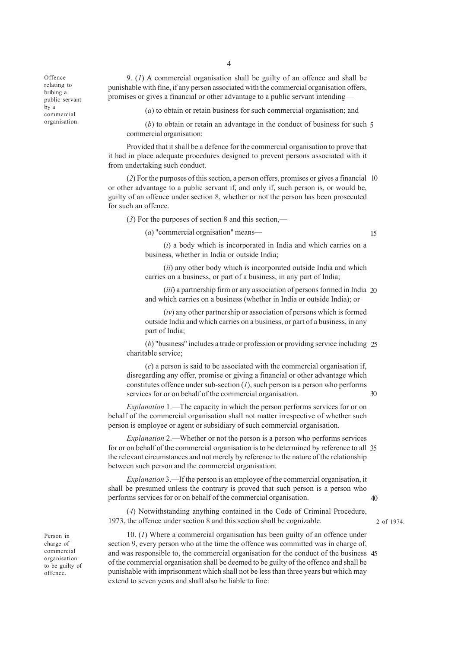**Offence** relating to bribing a public servant by a commercial organisation.

9. (*1*) A commercial organisation shall be guilty of an offence and shall be punishable with fine, if any person associated with the commercial organisation offers, promises or gives a financial or other advantage to a public servant intending—

(*a*) to obtain or retain business for such commercial organisation; and

(*b*) to obtain or retain an advantage in the conduct of business for such 5 commercial organisation:

Provided that it shall be a defence for the commercial organisation to prove that it had in place adequate procedures designed to prevent persons associated with it from undertaking such conduct.

(*2*) For the purposes of this section, a person offers, promises or gives a financial 10 or other advantage to a public servant if, and only if, such person is, or would be, guilty of an offence under section 8, whether or not the person has been prosecuted for such an offence.

(*3*) For the purposes of section 8 and this section,—

(*a*) "commercial orgnisation" means—

15

 $30$ 

(*i*) a body which is incorporated in India and which carries on a business, whether in India or outside India;

(*ii*) any other body which is incorporated outside India and which carries on a business, or part of a business, in any part of India;

(*iii*) a partnership firm or any association of persons formed in India 20 and which carries on a business (whether in India or outside India); or

(*iv*) any other partnership or association of persons which is formed outside India and which carries on a business, or part of a business, in any part of India;

(*b*) "business" includes a trade or profession or providing service including 25 charitable service;

(*c*) a person is said to be associated with the commercial organisation if, disregarding any offer, promise or giving a financial or other advantage which constitutes offence under sub-section (*1*), such person is a person who performs services for or on behalf of the commercial organisation.

*Explanation* 1.—The capacity in which the person performs services for or on behalf of the commercial organisation shall not matter irrespective of whether such person is employee or agent or subsidiary of such commercial organisation.

*Explanation* 2.—Whether or not the person is a person who performs services for or on behalf of the commercial organisation is to be determined by reference to all 35 the relevant circumstances and not merely by reference to the nature of the relationship between such person and the commercial organisation.

*Explanation* 3.—If the person is an employee of the commercial organisation, it shall be presumed unless the contrary is proved that such person is a person who performs services for or on behalf of the commercial organisation. 40

(*4*) Notwithstanding anything contained in the Code of Criminal Procedure, 1973, the offence under section 8 and this section shall be cognizable.

2 of 1974.

Person in charge of commercial organisation to be guilty of offence.

10. (*1*) Where a commercial organisation has been guilty of an offence under section 9, every person who at the time the offence was committed was in charge of, and was responsible to, the commercial organisation for the conduct of the business 45of the commercial organisation shall be deemed to be guilty of the offence and shall be punishable with imprisonment which shall not be less than three years but which may extend to seven years and shall also be liable to fine: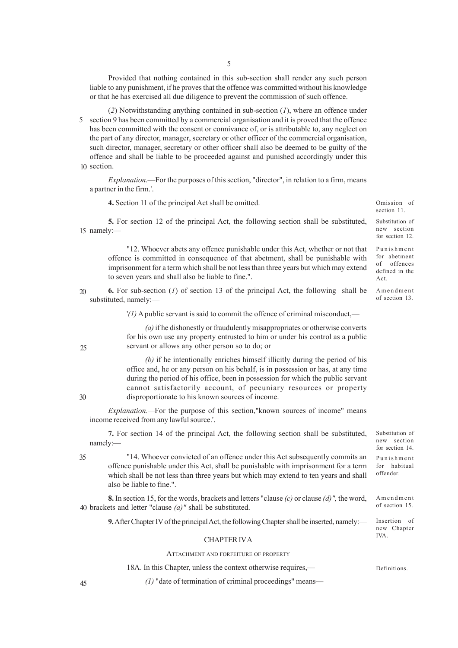Provided that nothing contained in this sub-section shall render any such person liable to any punishment, if he proves that the offence was committed without his knowledge or that he has exercised all due diligence to prevent the commission of such offence.

(*2*) Notwithstanding anything contained in sub-section (*1*), where an offence under 5 section 9 has been committed by a commercial organisation and it is proved that the offence has been committed with the consent or connivance of, or is attributable to, any neglect on the part of any director, manager, secretary or other officer of the commercial organisation, such director, manager, secretary or other officer shall also be deemed to be guilty of the offence and shall be liable to be proceeded against and punished accordingly under this 10 section.

*Explanation*.—For the purposes of this section, "director", in relation to a firm, means a partner in the firm.'.

**4.** Section 11 of the principal Act shall be omitted.

**5.** For section 12 of the principal Act, the following section shall be substituted, 15 namely:-

"12. Whoever abets any offence punishable under this Act, whether or not that offence is committed in consequence of that abetment, shall be punishable with imprisonment for a term which shall be not less than three years but which may extend to seven years and shall also be liable to fine.".

**6.** For sub-section (*1*) of section 13 of the principal Act, the following shall be substituted, namely:— 20

'*(1)* A public servant is said to commit the offence of criminal misconduct,—

*(a)* if he dishonestly or fraudulently misappropriates or otherwise converts for his own use any property entrusted to him or under his control as a public servant or allows any other person so to do; or

*(b)* if he intentionally enriches himself illicitly during the period of his office and, he or any person on his behalf, is in possession or has, at any time during the period of his office, been in possession for which the public servant cannot satisfactorily account, of pecuniary resources or property disproportionate to his known sources of income.

*Explanation.—*For the purpose of this section,"known sources of income" means income received from any lawful source.'.

**7.** For section 14 of the principal Act, the following section shall be substituted, namely:— Substitution of new section for section 14

"14. Whoever convicted of an offence under this Act subsequently commits an offence punishable under this Act, shall be punishable with imprisonment for a term which shall be not less than three years but which may extend to ten years and shall also be liable to fine.". Punishment for habitual offender. 35

**8.** In section 15, for the words, brackets and letters "clause *(c)* or clause *(d)",* the word, brackets and letter "clause *(a)"* shall be substituted. 40 Amendment of section 15.

**9.** After Chapter IV of the principal Act, the following Chapter shall be inserted, namely:— Insertion of new Chapter

#### CHAPTER IV A

#### ATTACHMENT AND FORFEITURE OF PROPERTY

18A. In this Chapter, unless the context otherwise requires,—

*(1)* "date of termination of criminal proceedings" means—

30

45

25

IVA.

Substitution of new section for section 12. Punishment

Omission of section 11.

for abetment of offences defined in the Act.

Amendment of section 13.

Definitions.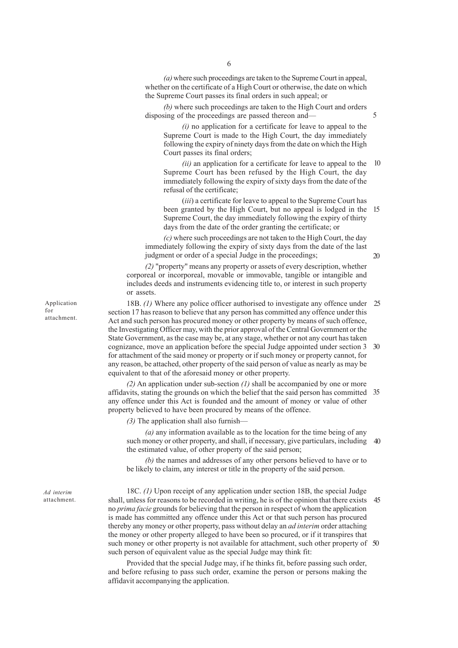*(a)* where such proceedings are taken to the Supreme Court in appeal, whether on the certificate of a High Court or otherwise, the date on which the Supreme Court passes its final orders in such appeal; or

*(b)* where such proceedings are taken to the High Court and orders disposing of the proceedings are passed thereon and— 5

*(i)* no application for a certificate for leave to appeal to the Supreme Court is made to the High Court, the day immediately following the expiry of ninety days from the date on which the High Court passes its final orders;

*(ii)* an application for a certificate for leave to appeal to the 10 Supreme Court has been refused by the High Court, the day immediately following the expiry of sixty days from the date of the refusal of the certificate;

(*iii*) a certificate for leave to appeal to the Supreme Court has been granted by the High Court, but no appeal is lodged in the 15 Supreme Court, the day immediately following the expiry of thirty days from the date of the order granting the certificate; or

*(c)* where such proceedings are not taken to the High Court, the day immediately following the expiry of sixty days from the date of the last judgment or order of a special Judge in the proceedings;

*(2)* "property" means any property or assets of every description, whether corporeal or incorporeal, movable or immovable, tangible or intangible and includes deeds and instruments evidencing title to, or interest in such property or assets.

18B. *(1)* Where any police officer authorised to investigate any offence under 25 section 17 has reason to believe that any person has committed any offence under this Act and such person has procured money or other property by means of such offence, the Investigating Officer may, with the prior approval of the Central Government or the State Government, as the case may be, at any stage, whether or not any court has taken cognizance, move an application before the special Judge appointed under section 3 30 for attachment of the said money or property or if such money or property cannot, for any reason, be attached, other property of the said person of value as nearly as may be equivalent to that of the aforesaid money or other property.

*(2)* An application under sub-section *(1)* shall be accompanied by one or more affidavits, stating the grounds on which the belief that the said person has committed 35 any offence under this Act is founded and the amount of money or value of other property believed to have been procured by means of the offence.

*(3)* The application shall also furnish—

*(a)* any information available as to the location for the time being of any such money or other property, and shall, if necessary, give particulars, including 40 the estimated value, of other property of the said person;

*(b)* the names and addresses of any other persons believed to have or to be likely to claim, any interest or title in the property of the said person.

18C. *(1)* Upon receipt of any application under section 18B, the special Judge shall, unless for reasons to be recorded in writing, he is of the opinion that there exists no *prima facie* grounds for believing that the person in respect of whom the application is made has committed any offence under this Act or that such person has procured thereby any money or other property, pass without delay an *ad interim* order attaching the money or other property alleged to have been so procured, or if it transpires that such money or other property is not available for attachment, such other property of 50such person of equivalent value as the special Judge may think fit: 45

Provided that the special Judge may, if he thinks fit, before passing such order, and before refusing to pass such order, examine the person or persons making the affidavit accompanying the application.

Application for attachment.

*Ad interim* attachment.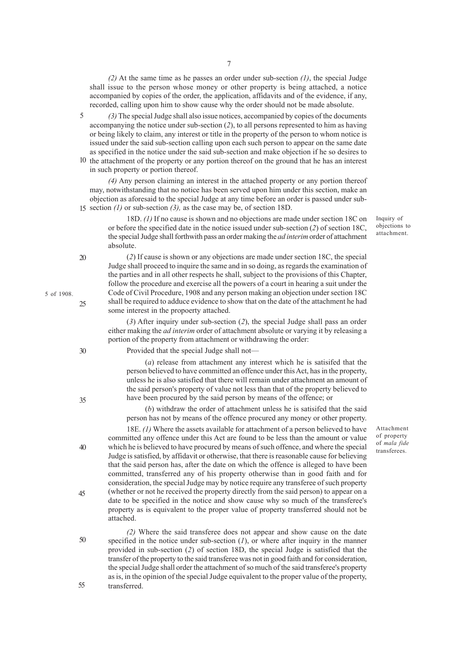7

*(2)* At the same time as he passes an order under sub-section *(1)*, the special Judge shall issue to the person whose money or other property is being attached, a notice accompanied by copies of the order, the application, affidavits and of the evidence, if any, recorded, calling upon him to show cause why the order should not be made absolute.

*(3)* The special Judge shall also issue notices, accompanied by copies of the documents accompanying the notice under sub-section (*2*), to all persons represented to him as having or being likely to claim, any interest or title in the property of the person to whom notice is issued under the said sub-section calling upon each such person to appear on the same date as specified in the notice under the said sub-section and make objection if he so desires to 5

10 the attachment of the property or any portion thereof on the ground that he has an interest in such property or portion thereof.

*(4)* Any person claiming an interest in the attached property or any portion thereof may, notwithstanding that no notice has been served upon him under this section, make an objection as aforesaid to the special Judge at any time before an order is passed under sub-15 section *(1)* or sub-section *(3)*, as the case may be, of section 18D.

18D. *(1)* If no cause is shown and no objections are made under section 18C on or before the specified date in the notice issued under sub-section (*2*) of section 18C, the special Judge shall forthwith pass an order making the *ad interim* order of attachment absolute.

(*2*) If cause is shown or any objections are made under section 18C, the special

20

5 of 1908.

25

Judge shall proceed to inquire the same and in so doing, as regards the examination of the parties and in all other respects he shall, subject to the provisions of this Chapter, follow the procedure and exercise all the powers of a court in hearing a suit under the Code of Civil Procedure, 1908 and any person making an objection under section 18C shall be required to adduce evidence to show that on the date of the attachment he had some interest in the propoerty attached.

(*3*) After inquiry under sub-section (*2*), the special Judge shall pass an order either making the *ad interim* order of attachment absolute or varying it by releasing a portion of the property from attachment or withdrawing the order:

30

35

40

45

Provided that the special Judge shall not—

(*a*) release from attachment any interest which he is satisifed that the person believed to have committed an offence under this Act, has in the property, unless he is also satisfied that there will remain under attachment an amount of the said person's property of value not less than that of the property believed to have been procured by the said person by means of the offence; or

(*b*) withdraw the order of attachment unless he is satisifed that the said person has not by means of the offence procured any money or other property.

18E. *(1)* Where the assets available for attachment of a person believed to have committed any offence under this Act are found to be less than the amount or value which he is believed to have procured by means of such offence, and where the special Judge is satisfied, by affidavit or otherwise, that there is reasonable cause for believing that the said person has, after the date on which the offence is alleged to have been committed, transferred any of his property otherwise than in good faith and for consideration, the special Judge may by notice require any transferee of such property (whether or not he received the property directly from the said person) to appear on a date to be specified in the notice and show cause why so much of the transferee's property as is equivalent to the proper value of property transferred should not be attached.

*(2)* Where the said transferee does not appear and show cause on the date specified in the notice under sub-section  $(1)$ , or where after inquiry in the manner provided in sub-section (*2*) of section 18D, the special Judge is satisfied that the transfer of the property to the said transferee was not in good faith and for consideration, the special Judge shall order the attachment of so much of the said transferee's property as is, in the opinion of the special Judge equivalent to the proper value of the property, transferred. 50 55

Inquiry of objections to attachment.

Attachment of property of *mala fide* transferees.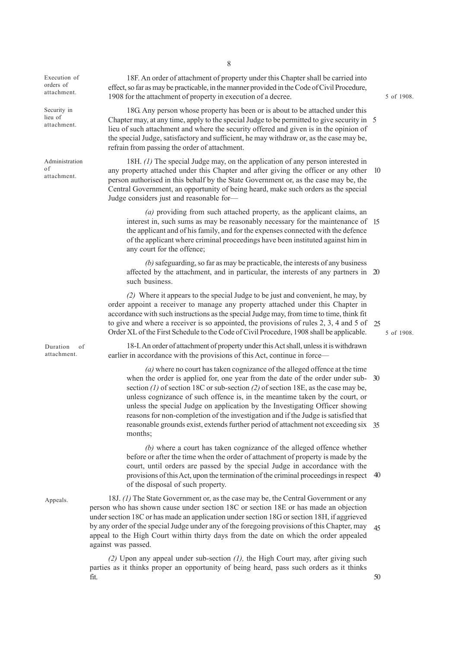Execution of orders of attachment.

Security in lieu of attachment.

Administration of attachment.

Duration of attachment.

Appeals.

18F. An order of attachment of property under this Chapter shall be carried into effect, so far as may be practicable, in the manner provided in the Code of Civil Procedure, 1908 for the attachment of property in execution of a decree.

18G. Any person whose property has been or is about to be attached under this Chapter may, at any time, apply to the special Judge to be permitted to give security in 5 lieu of such attachment and where the security offered and given is in the opinion of the special Judge, satisfactory and sufficient, he may withdraw or, as the case may be, refrain from passing the order of attachment.

18H. *(1)* The special Judge may, on the application of any person interested in any property attached under this Chapter and after giving the officer or any other person authorised in this behalf by the State Government or, as the case may be, the Central Government, an opportunity of being heard, make such orders as the special Judge considers just and reasonable for— 10

*(a)* providing from such attached property, as the applicant claims, an interest in, such sums as may be reasonably necessary for the maintenance of 15 the applicant and of his family, and for the expenses connected with the defence of the applicant where criminal proceedings have been instituted against him in any court for the offence;

*(b)* safeguarding, so far as may be practicable, the interests of any business affected by the attachment, and in particular, the interests of any partners in 20 such business.

*(2)* Where it appears to the special Judge to be just and convenient, he may, by order appoint a receiver to manage any property attached under this Chapter in accordance with such instructions as the special Judge may, from time to time, think fit to give and where a receiver is so appointed, the provisions of rules 2, 3, 4 and 5 of 25 Order XL of the First Schedule to the Code of Civil Procedure, 1908 shall be applicable.

18-I. An order of attachment of property under this Act shall, unless it is withdrawn earlier in accordance with the provisions of this Act, continue in force—

*(a)* where no court has taken cognizance of the alleged offence at the time when the order is applied for, one year from the date of the order under subsection *(1)* of section 18C or sub-section *(2)* of section 18E, as the case may be, unless cognizance of such offence is, in the meantime taken by the court, or unless the special Judge on application by the Investigating Officer showing reasons for non-completion of the investigation and if the Judge is satisfied that reasonable grounds exist, extends further period of attachment not exceeding six 35 months; 30

*(b)* where a court has taken cognizance of the alleged offence whether before or after the time when the order of attachment of property is made by the court, until orders are passed by the special Judge in accordance with the provisions of this Act, upon the termination of the criminal proceedings in respect 40 of the disposal of such property.

18J. *(1)* The State Government or, as the case may be, the Central Government or any person who has shown cause under section 18C or section 18E or has made an objection under section 18C or has made an application under section 18G or section 18H, if aggrieved by any order of the special Judge under any of the foregoing provisions of this Chapter, may appeal to the High Court within thirty days from the date on which the order appealed against was passed. 45

*(2)* Upon any appeal under sub-section *(1),* the High Court may, after giving such parties as it thinks proper an opportunity of being heard, pass such orders as it thinks fit.

8

5 of 1908.

5 of 1908.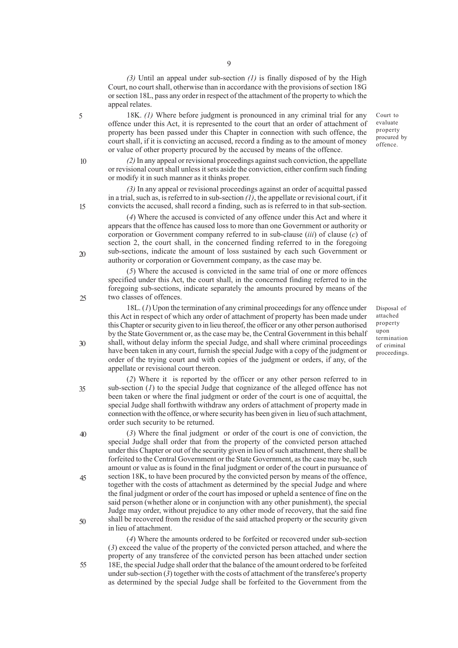*(3)* Until an appeal under sub-section *(1)* is finally disposed of by the High Court, no court shall, otherwise than in accordance with the provisions of section 18G or section 18L, pass any order in respect of the attachment of the property to which the appeal relates.

18K. *(1)* Where before judgment is pronounced in any criminal trial for any offence under this Act, it is represented to the court that an order of attachment of property has been passed under this Chapter in connection with such offence, the court shall, if it is convicting an accused, record a finding as to the amount of money or value of other property procured by the accused by means of the offence.

*(2)* In any appeal or revisional proceedings against such conviction, the appellate or revisional court shall unless it sets aside the conviction, either confirm such finding or modify it in such manner as it thinks proper.

*(3)* In any appeal or revisional proceedings against an order of acquittal passed in a trial, such as, is referred to in sub-section *(1)*, the appellate or revisional court, if it convicts the accused, shall record a finding, such as is referred to in that sub-section.

(*4*) Where the accused is convicted of any offence under this Act and where it appears that the offence has caused loss to more than one Government or authority or corporation or Government company referred to in sub-clause (*iii*) of clause (*c*) of section 2, the court shall, in the concerned finding referred to in the foregoing sub-sections, indicate the amount of loss sustained by each such Government or authority or corporation or Government company, as the case may be.

(*5*) Where the accused is convicted in the same trial of one or more offences specified under this Act, the court shall, in the concerned finding referred to in the foregoing sub-sections, indicate separately the amounts procured by means of the two classes of offences.

18L. (*1*) Upon the termination of any criminal proceedings for any offence under this Act in respect of which any order of attachment of property has been made under this Chapter or security given to in lieu thereof, the officer or any other person authorised by the State Government or, as the case may be, the Central Government in this behalf shall, without delay inform the special Judge, and shall where criminal proceedings have been taken in any court, furnish the special Judge with a copy of the judgment or order of the trying court and with copies of the judgment or orders, if any, of the appellate or revisional court thereon.

(*2*) Where it is reported by the officer or any other person referred to in sub-section (*1*) to the special Judge that cognizance of the alleged offence has not been taken or where the final judgment or order of the court is one of acquittal, the special Judge shall forthwith withdraw any orders of attachment of property made in connection with the offence, or where security has been given in lieu of such attachment, order such security to be returned.

(*3*) Where the final judgment or order of the court is one of conviction, the special Judge shall order that from the property of the convicted person attached under this Chapter or out of the security given in lieu of such attachment, there shall be forfeited to the Central Government or the State Government, as the case may be, such amount or value as is found in the final judgment or order of the court in pursuance of section 18K, to have been procured by the convicted person by means of the offence, together with the costs of attachment as determined by the special Judge and where the final judgment or order of the court has imposed or upheld a sentence of fine on the said person (whether alone or in conjunction with any other punishment), the special Judge may order, without prejudice to any other mode of recovery, that the said fine shall be recovered from the residue of the said attached property or the security given in lieu of attachment.

(*4*) Where the amounts ordered to be forfeited or recovered under sub-section (*3*) exceed the value of the property of the convicted person attached, and where the property of any transferee of the convicted person has been attached under section 18E, the special Judge shall order that the balance of the amount ordered to be forfeited under sub-section  $(3)$  together with the costs of attachment of the transferee's property as determined by the special Judge shall be forfeited to the Government from the

Disposal of attached property upon termination of criminal proceedings.

Court to evaluate property procured by offence.

9

15

5

10

20

25

30

40

35

45

- 
- 50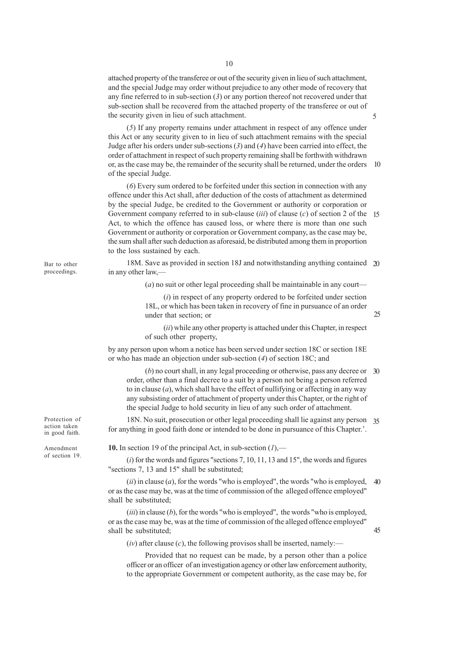attached property of the transferee or out of the security given in lieu of such attachment, and the special Judge may order without prejudice to any other mode of recovery that any fine referred to in sub-section (*3*) or any portion thereof not recovered under that sub-section shall be recovered from the attached property of the transferee or out of the security given in lieu of such attachment.

(*5*) If any property remains under attachment in respect of any offence under this Act or any security given to in lieu of such attachment remains with the special Judge after his orders under sub-sections (*3*) and (*4*) have been carried into effect, the order of attachment in respect of such property remaining shall be forthwith withdrawn or, as the case may be, the remainder of the security shall be returned, under the orders of the special Judge. 10

(*6*) Every sum ordered to be forfeited under this section in connection with any offence under this Act shall, after deduction of the costs of attachment as determined by the special Judge, be credited to the Government or authority or corporation or Government company referred to in sub-clause (*iii*) of clause (*c*) of section 2 of the 15 Act, to which the offence has caused loss, or where there is more than one such Government or authority or corporation or Government company, as the case may be, the sum shall after such deduction as aforesaid, be distributed among them in proportion to the loss sustained by each.

18M. Save as provided in section 18J and notwithstanding anything contained 20 in any other law,—

(*a*) no suit or other legal proceeding shall be maintainable in any court—

(*i*) in respect of any property ordered to be forfeited under section 18L, or which has been taken in recovery of fine in pursuance of an order under that section; or

(*ii*) while any other property is attached under this Chapter, in respect of such other property,

by any person upon whom a notice has been served under section 18C or section 18E or who has made an objection under sub-section (*4*) of section 18C; and

(*b*) no court shall, in any legal proceeding or otherwise, pass any decree or 30 order, other than a final decree to a suit by a person not being a person referred to in clause (*a*), which shall have the effect of nullifying or affecting in any way any subsisting order of attachment of property under this Chapter, or the right of the special Judge to hold security in lieu of any such order of attachment.

18N. No suit, prosecution or other legal proceeding shall lie against any person 35 for anything in good faith done or intended to be done in pursuance of this Chapter.'.

**10.** In section 19 of the principal Act, in sub-section (*1*),—

(*i*) for the words and figures "sections 7, 10, 11, 13 and 15", the words and figures "sections 7, 13 and 15" shall be substituted;

(*ii*) in clause (*a*), for the words "who is employed", the words "who is employed, or as the case may be, was at the time of commission of the alleged offence employed" shall be substituted;  $40$ 

 $(iii)$  in clause  $(b)$ , for the words "who is employed", the words "who is employed, or as the case may be, was at the time of commission of the alleged offence employed" shall be substituted;

 $(iv)$  after clause  $(c)$ , the following provisos shall be inserted, namely:—

Provided that no request can be made, by a person other than a police officer or an officer of an investigation agency or other law enforcement authority, to the appropriate Government or competent authority, as the case may be, for

Bar to other proceedings.

Protection of action taken in good faith.

Amendment of section 19.

45

5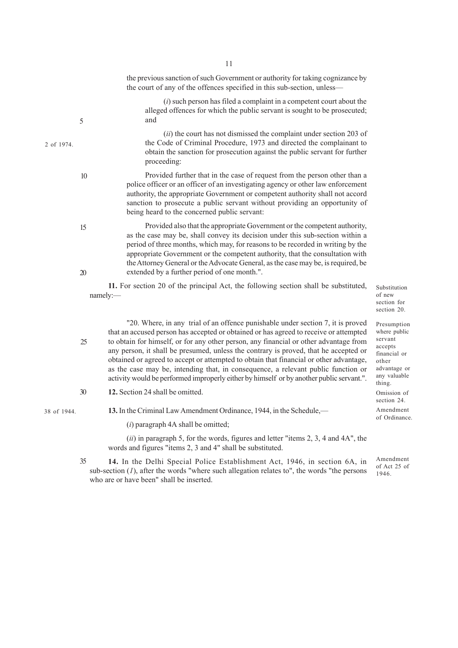the previous sanction of such Government or authority for taking cognizance by the court of any of the offences specified in this sub-section, unless—

(*i*) such person has filed a complaint in a competent court about the alleged offences for which the public servant is sought to be prosecuted; and

(*ii*) the court has not dismissed the complaint under section 203 of the Code of Criminal Procedure, 1973 and directed the complainant to obtain the sanction for prosecution against the public servant for further proceeding:

Provided further that in the case of request from the person other than a police officer or an officer of an investigating agency or other law enforcement authority, the appropriate Government or competent authority shall not accord sanction to prosecute a public servant without providing an opportunity of being heard to the concerned public servant:

Provided also that the appropriate Government or the competent authority, as the case may be, shall convey its decision under this sub-section within a period of three months, which may, for reasons to be recorded in writing by the appropriate Government or the competent authority, that the consultation with the Attorney General or the Advocate General, as the case may be, is required, be extended by a further period of one month.".

**11.** For section 20 of the principal Act, the following section shall be substituted, namely:—

Substitution of new section for section 20.

Presumption where public servant accepts financial or other advantage or any valuable thing. Omission of section 24. Amendment of Ordinance.

"20. Where, in any trial of an offence punishable under section 7, it is proved that an accused person has accepted or obtained or has agreed to receive or attempted to obtain for himself, or for any other person, any financial or other advantage from any person, it shall be presumed, unless the contrary is proved, that he accepted or obtained or agreed to accept or attempted to obtain that financial or other advantage, as the case may be, intending that, in consequence, a relevant public function or activity would be performed improperly either by himself or by another public servant.".

**12.** Section 24 shall be omitted. 30

38 of 1944.

2 of 1974.

5

10

15

20

25

**13.** In the Criminal Law Amendment Ordinance, 1944, in the Schedule,—

(*i*) paragraph 4A shall be omitted;

(*ii*) in paragraph 5, for the words, figures and letter "items 2, 3, 4 and 4A", the words and figures "items 2, 3 and 4" shall be substituted.

**14.** In the Delhi Special Police Establishment Act, 1946, in section 6A, in sub-section  $(I)$ , after the words "where such allegation relates to", the words "the persons who are or have been" shall be inserted. 35

Amendment of Act 25 of 1946.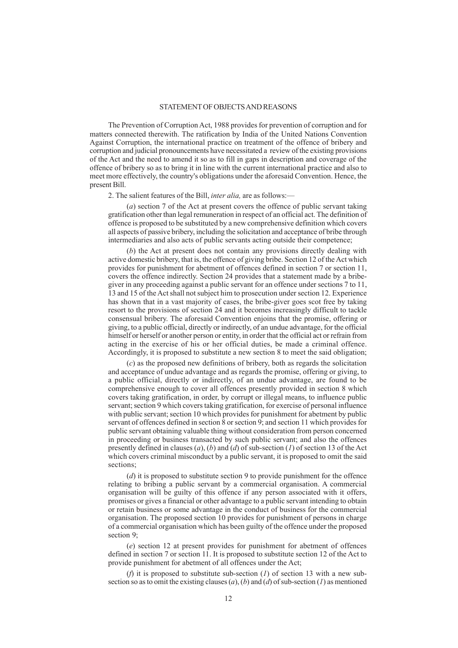### STATEMENT OF OBJECTS AND REASONS

The Prevention of Corruption Act, 1988 provides for prevention of corruption and for matters connected therewith. The ratification by India of the United Nations Convention Against Corruption, the international practice on treatment of the offence of bribery and corruption and judicial pronouncements have necessitated a review of the existing provisions of the Act and the need to amend it so as to fill in gaps in description and coverage of the offence of bribery so as to bring it in line with the current international practice and also to meet more effectively, the country's obligations under the aforesaid Convention. Hence, the present Bill.

2. The salient features of the Bill, *inter alia,* are as follows:—

(*a*) section 7 of the Act at present covers the offence of public servant taking gratification other than legal remuneration in respect of an official act. The definition of offence is proposed to be substituted by a new comprehensive definition which covers all aspects of passive bribery, including the solicitation and acceptance of bribe through intermediaries and also acts of public servants acting outside their competence;

(*b*) the Act at present does not contain any provisions directly dealing with active domestic bribery, that is, the offence of giving bribe. Section 12 of the Act which provides for punishment for abetment of offences defined in section 7 or section 11, covers the offence indirectly. Section 24 provides that a statement made by a bribegiver in any proceeding against a public servant for an offence under sections 7 to 11, 13 and 15 of the Act shall not subject him to prosecution under section 12. Experience has shown that in a vast majority of cases, the bribe-giver goes scot free by taking resort to the provisions of section 24 and it becomes increasingly difficult to tackle consensual bribery. The aforesaid Convention enjoins that the promise, offering or giving, to a public official, directly or indirectly, of an undue advantage, for the official himself or herself or another person or entity, in order that the official act or refrain from acting in the exercise of his or her official duties, be made a criminal offence. Accordingly, it is proposed to substitute a new section 8 to meet the said obligation;

(*c*) as the proposed new definitions of bribery, both as regards the solicitation and acceptance of undue advantage and as regards the promise, offering or giving, to a public official, directly or indirectly, of an undue advantage, are found to be comprehensive enough to cover all offences presently provided in section 8 which covers taking gratification, in order, by corrupt or illegal means, to influence public servant; section 9 which covers taking gratification, for exercise of personal influence with public servant; section 10 which provides for punishment for abetment by public servant of offences defined in section 8 or section 9; and section 11 which provides for public servant obtaining valuable thing without consideration from person concerned in proceeding or business transacted by such public servant; and also the offences presently defined in clauses (*a*), (*b*) and (*d*) of sub-section (*1*) of section 13 of the Act which covers criminal misconduct by a public servant, it is proposed to omit the said sections;

(*d*) it is proposed to substitute section 9 to provide punishment for the offence relating to bribing a public servant by a commercial organisation. A commercial organisation will be guilty of this offence if any person associated with it offers, promises or gives a financial or other advantage to a public servant intending to obtain or retain business or some advantage in the conduct of business for the commercial organisation. The proposed section 10 provides for punishment of persons in charge of a commercial organisation which has been guilty of the offence under the proposed section 9;

(*e*) section 12 at present provides for punishment for abetment of offences defined in section 7 or section 11. It is proposed to substitute section 12 of the Act to provide punishment for abetment of all offences under the Act;

(*f*) it is proposed to substitute sub-section (*1*) of section 13 with a new subsection so as to omit the existing clauses (*a*), (*b*) and (*d*) of sub-section (*1*) as mentioned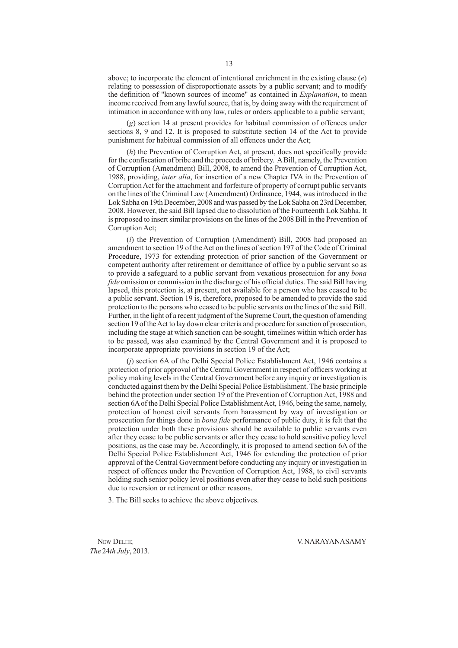above; to incorporate the element of intentional enrichment in the existing clause (*e*) relating to possession of disproportionate assets by a public servant; and to modify the definition of "known sources of income" as contained in *Explanation*, to mean income received from any lawful source, that is, by doing away with the requirement of intimation in accordance with any law, rules or orders applicable to a public servant;

(*g*) section 14 at present provides for habitual commission of offences under sections 8, 9 and 12. It is proposed to substitute section 14 of the Act to provide punishment for habitual commission of all offences under the Act;

(*h*) the Prevention of Corruption Act, at present, does not specifically provide for the confiscation of bribe and the proceeds of bribery. A Bill, namely, the Prevention of Corruption (Amendment) Bill, 2008, to amend the Prevention of Corruption Act, 1988, providing, *inter alia*, for insertion of a new Chapter IVA in the Prevention of Corruption Act for the attachment and forfeiture of property of corrupt public servants on the lines of the Criminal Law (Amendment) Ordinance, 1944, was introduced in the Lok Sabha on 19th December, 2008 and was passed by the Lok Sabha on 23rd December, 2008. However, the said Bill lapsed due to dissolution of the Fourteenth Lok Sabha. It is proposed to insert similar provisions on the lines of the 2008 Bill in the Prevention of Corruption Act;

(*i*) the Prevention of Corruption (Amendment) Bill, 2008 had proposed an amendment to section 19 of the Act on the lines of section 197 of the Code of Criminal Procedure, 1973 for extending protection of prior sanction of the Government or competent authority after retirement or demittance of office by a public servant so as to provide a safeguard to a public servant from vexatious prosectuion for any *bona fide* omission or commission in the discharge of his official duties. The said Bill having lapsed, this protection is, at present, not available for a person who has ceased to be a public servant. Section 19 is, therefore, proposed to be amended to provide the said protection to the persons who ceased to be public servants on the lines of the said Bill. Further, in the light of a recent judgment of the Supreme Court, the question of amending section 19 of the Act to lay down clear criteria and procedure for sanction of prosecution, including the stage at which sanction can be sought, timelines within which order has to be passed, was also examined by the Central Government and it is proposed to incorporate appropriate provisions in section 19 of the Act;

(*j*) section 6A of the Delhi Special Police Establishment Act, 1946 contains a protection of prior approval of the Central Government in respect of officers working at policy making levels in the Central Government before any inquiry or investigation is conducted against them by the Delhi Special Police Establishment. The basic principle behind the protection under section 19 of the Prevention of Corruption Act, 1988 and section 6A of the Delhi Special Police Establishment Act, 1946, being the same, namely, protection of honest civil servants from harassment by way of investigation or prosecution for things done in *bona fide* performance of public duty, it is felt that the protection under both these provisions should be available to public servants even after they cease to be public servants or after they cease to hold sensitive policy level positions, as the case may be. Accordingly, it is proposed to amend section 6A of the Delhi Special Police Establishment Act, 1946 for extending the protection of prior approval of the Central Government before conducting any inquiry or investigation in respect of offences under the Prevention of Corruption Act, 1988, to civil servants holding such senior policy level positions even after they cease to hold such positions due to reversion or retirement or other reasons.

3. The Bill seeks to achieve the above objectives.

*The* 24*th July*, 2013.

NEW DELHI; V. NARAYANASAMY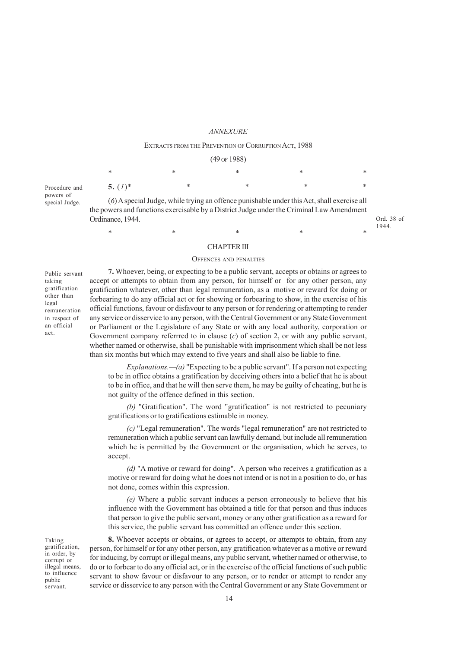### *ANNEXURE*

## EXTRACTS FROM THE PREVENTION OF CORRUPTION ACT, 1988  $(49 \text{ of } 1988)$

| (12011200) |   |   |   |        |  |  |
|------------|---|---|---|--------|--|--|
| *          | * | * | * | $\ast$ |  |  |
| 5. $(I)^*$ | ∗ | * | * | $\ast$ |  |  |

Procedure and powers of special Judge.

(*6*) A special Judge, while trying an offence punishable under this Act, shall exercise all the powers and functions exercisable by a District Judge under the Criminal Law Amendment Ordinance, 1944.

Ord. 38 of 1944.

#### CHAPTER III

 $*$  \*  $*$  \*  $*$  \*  $*$  \*

#### OFFENCES AND PENALTIES

Public servant taking gratification other than legal remuneration in respect of an official act.

**7.** Whoever, being, or expecting to be a public servant, accepts or obtains or agrees to accept or attempts to obtain from any person, for himself or for any other person, any gratification whatever, other than legal remuneration, as a motive or reward for doing or forbearing to do any official act or for showing or forbearing to show, in the exercise of his official functions, favour or disfavour to any person or for rendering or attempting to render any service or disservice to any person, with the Central Government or any State Government or Parliament or the Legislature of any State or with any local authority, corporation or Government company referrred to in clause (*c*) of section 2, or with any public servant, whether named or otherwise, shall be punishable with imprisonment which shall be not less than six months but which may extend to five years and shall also be liable to fine.

*Explanations.—(a)* "Expecting to be a public servant". If a person not expecting to be in office obtains a gratification by deceiving others into a belief that he is about to be in office, and that he will then serve them, he may be guilty of cheating, but he is not guilty of the offence defined in this section.

*(b)* "Gratification". The word "gratification" is not restricted to pecuniary gratifications or to gratifications estimable in money.

*(c)* "Legal remuneration". The words "legal remuneration" are not restricted to remuneration which a public servant can lawfully demand, but include all remuneration which he is permitted by the Government or the organisation, which he serves, to accept.

*(d)* "A motive or reward for doing". A person who receives a gratification as a motive or reward for doing what he does not intend or is not in a position to do, or has not done, comes within this expression.

*(e)* Where a public servant induces a person erroneously to believe that his influence with the Government has obtained a title for that person and thus induces that person to give the public servant, money or any other gratification as a reward for this service, the public servant has committed an offence under this section.

**8.** Whoever accepts or obtains, or agrees to accept, or attempts to obtain, from any person, for himself or for any other person, any gratification whatever as a motive or reward for inducing, by corrupt or illegal means, any public servant, whether named or otherwise, to do or to forbear to do any official act, or in the exercise of the official functions of such public servant to show favour or disfavour to any person, or to render or attempt to render any service or disservice to any person with the Central Government or any State Government or

Taking gratification, in order, by corrupt or illegal means, to influence public servant.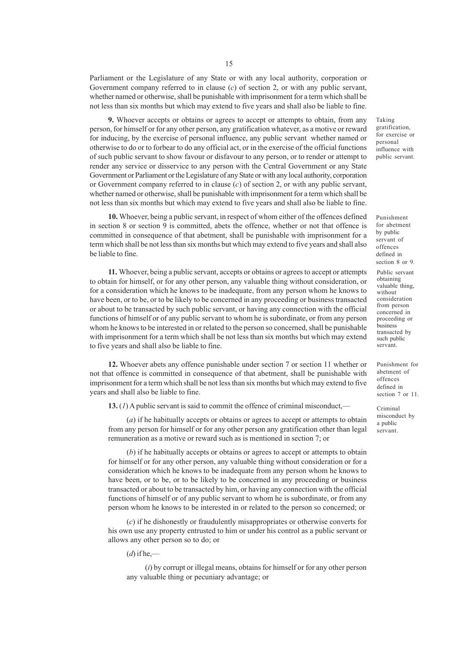Parliament or the Legislature of any State or with any local authority, corporation or Government company referred to in clause (*c*) of section 2, or with any public servant, whether named or otherwise, shall be punishable with imprisonment for a term which shall be not less than six months but which may extend to five years and shall also be liable to fine.

**9.** Whoever accepts or obtains or agrees to accept or attempts to obtain, from any person, for himself or for any other person, any gratification whatever, as a motive or reward for inducing, by the exercise of personal influence, any public servant whether named or otherwise to do or to forbear to do any official act, or in the exercise of the official functions of such public servant to show favour or disfavour to any person, or to render or attempt to render any service or disservice to any person with the Central Government or any State Government or Parliament or the Legislature of any State or with any local authority, corporation or Government company referred to in clause (*c*) of section 2, or with any public servant, whether named or otherwise, shall be punishable with imprisonment for a term which shall be not less than six months but which may extend to five years and shall also be liable to fine.

**10.** Whoever, being a public servant, in respect of whom either of the offences defined in section 8 or section 9 is committed, abets the offence, whether or not that offence is committed in consequence of that abetment, shall be punishable with imprisonment for a term which shall be not less than six months but which may extend to five years and shall also be liable to fine.

**11.** Whoever, being a public servant, accepts or obtains or agrees to accept or attempts to obtain for himself, or for any other person, any valuable thing without consideration, or for a consideration which he knows to be inadequate, from any person whom he knows to have been, or to be, or to be likely to be concerned in any proceeding or business transacted or about to be transacted by such public servant, or having any connection with the official functions of himself or of any public servant to whom he is subordinate, or from any person whom he knows to be interested in or related to the person so concerned, shall be punishable with imprisonment for a term which shall be not less than six months but which may extend to five years and shall also be liable to fine.

**12.** Whoever abets any offence punishable under section 7 or section 11 whether or not that offence is committed in consequence of that abetment, shall be punishable with imprisonment for a term which shall be not less than six months but which may extend to five years and shall also be liable to fine.

**13.** (*1*) A public servant is said to commit the offence of criminal misconduct,—

(*a*) if he habitually accepts or obtains or agrees to accept or attempts to obtain from any person for himself or for any other person any gratification other than legal remuneration as a motive or reward such as is mentioned in section 7; or

(*b*) if he habitually accepts or obtains or agrees to accept or attempts to obtain for himself or for any other person, any valuable thing without consideration or for a consideration which he knows to be inadequate from any person whom he knows to have been, or to be, or to be likely to be concerned in any proceeding or business transacted or about to be transacted by him, or having any connection with the official functions of himself or of any public servant to whom he is subordinate, or from any person whom he knows to be interested in or related to the person so concerned; or

(*c*) if he dishonestly or fraudulently misappropriates or otherwise converts for his own use any property entrusted to him or under his control as a public servant or allows any other person so to do; or

 $(d)$  if he,—

(*i*) by corrupt or illegal means, obtains for himself or for any other person any valuable thing or pecuniary advantage; or

Taking gratification, for exercise or personal influence with public servant.

Punishment for abetment by public servant of offences defined in section 8 or 9.

Public servant obtaining valuable thing, without consideration from person concerned in proceeding or business transacted by such public servant.

Punishment for abetment of offences defined in section 7 or 11.

Criminal misconduct by a public servant.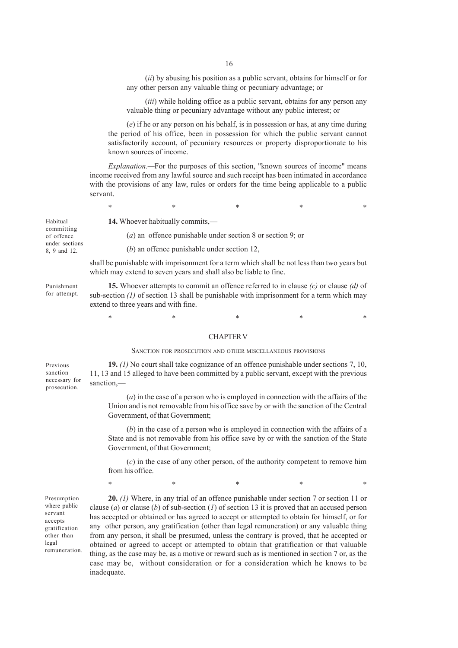(*ii*) by abusing his position as a public servant, obtains for himself or for any other person any valuable thing or pecuniary advantage; or

(*iii*) while holding office as a public servant, obtains for any person any valuable thing or pecuniary advantage without any public interest; or

(*e*) if he or any person on his behalf, is in possession or has, at any time during the period of his office, been in possession for which the public servant cannot satisfactorily account, of pecuniary resources or property disproportionate to his known sources of income.

*Explanation.—*For the purposes of this section, "known sources of income" means income received from any lawful source and such receipt has been intimated in accordance with the provisions of any law, rules or orders for the time being applicable to a public servant.

 $*$  \*  $*$  \*  $*$  \*  $*$  \*

Habitual committing of offence under sections 8, 9 and 12.

**14.** Whoever habitually commits,—

(*a*) an offence punishable under section 8 or section 9; or

(*b*) an offence punishable under section 12,

shall be punishable with imprisonment for a term which shall be not less than two years but which may extend to seven years and shall also be liable to fine.

Punishment for attempt.

**15.** Whoever attempts to commit an offence referred to in clause *(c)* or clause *(d)* of sub-section *(1)* of section 13 shall be punishable with imprisonment for a term which may extend to three years and with fine.

 $*$  \*  $*$  \*  $*$  \*  $*$  \*

#### CHAPTER V

#### SANCTION FOR PROSECUTION AND OTHER MISCELLANEOUS PROVISIONS

**19.** *(1)* No court shall take cognizance of an offence punishable under sections 7, 10, 11, 13 and 15 alleged to have been committed by a public servant, except with the previous sanction,— Previous sanction necessary for prosecution.

> (*a*) in the case of a person who is employed in connection with the affairs of the Union and is not removable from his office save by or with the sanction of the Central Government, of that Government;

> (*b*) in the case of a person who is employed in connection with the affairs of a State and is not removable from his office save by or with the sanction of the State Government, of that Government;

> (*c*) in the case of any other person, of the authority competent to remove him from his office.

> $*$  \*  $*$  \*  $*$  \*  $*$  \*

Presumption where public servant accepts gratification other than legal remuneration.

**20.** *(1)* Where, in any trial of an offence punishable under section 7 or section 11 or clause (*a*) or clause (*b*) of sub-section (*1*) of section 13 it is proved that an accused person has accepted or obtained or has agreed to accept or attempted to obtain for himself, or for any other person, any gratification (other than legal remuneration) or any valuable thing from any person, it shall be presumed, unless the contrary is proved, that he accepted or obtained or agreed to accept or attempted to obtain that gratification or that valuable thing, as the case may be, as a motive or reward such as is mentioned in section 7 or, as the case may be, without consideration or for a consideration which he knows to be inadequate.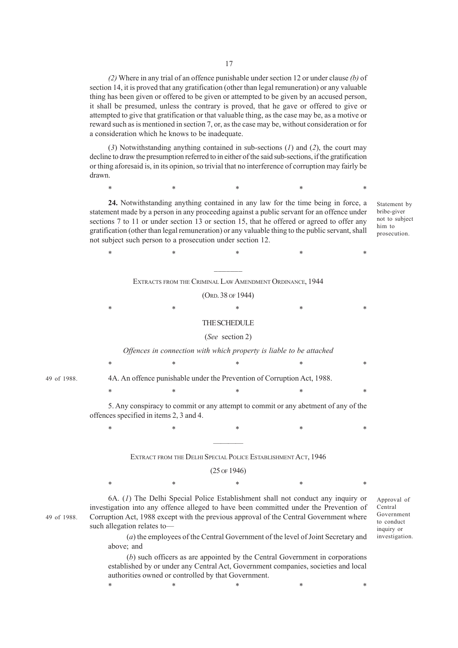*(2)* Where in any trial of an offence punishable under section 12 or under clause *(b)* of section 14, it is proved that any gratification (other than legal remuneration) or any valuable thing has been given or offered to be given or attempted to be given by an accused person, it shall be presumed, unless the contrary is proved, that he gave or offered to give or attempted to give that gratification or that valuable thing, as the case may be, as a motive or reward such as is mentioned in section 7, or, as the case may be, without consideration or for a consideration which he knows to be inadequate.

(*3*) Notwithstanding anything contained in sub-sections (*1*) and (*2*), the court may decline to draw the presumption referred to in either of the said sub-sections, if the gratification or thing aforesaid is, in its opinion, so trivial that no interference of corruption may fairly be drawn.

 $*$  \*  $*$  \*  $*$  \*  $*$  \*

**24.** Notwithstanding anything contained in any law for the time being in force, a statement made by a person in any proceeding against a public servant for an offence under sections 7 to 11 or under section 13 or section 15, that he offered or agreed to offer any gratification (other than legal remuneration) or any valuable thing to the public servant, shall not subject such person to a prosecution under section 12.

Statement by bribe-giver not to subject him to prosecution.

 $\mathcal{L}=\mathcal{L}$ EXTRACTS FROM THE CRIMINAL LAW AMENDMENT ORDINANCE, 1944

(ORD. 38 OF 1944)

 $*$  \*  $*$  \*  $*$  \*  $*$  \*

 $*$  \*  $*$  \*  $*$  \*  $*$  \* THE SCHEDULE

# (*See* section 2)

#### *Offences in connection with which property is liable to be attached*

 $*$  \*  $*$  \*  $*$  \*  $*$  \*

 $*$  \*  $*$  \*  $*$  \*  $*$  \*

 $*$  \*  $*$  \*  $*$  \*  $*$  \*

49 of 1988.

4A. An offence punishable under the Prevention of Corruption Act, 1988.

5. Any conspiracy to commit or any attempt to commit or any abetment of any of the offences specified in items 2, 3 and 4.

# ———— EXTRACT FROM THE DELHI SPECIAL POLICE ESTABLISHMENT ACT, 1946

### (25 OF 1946)

 $*$  \*  $*$  \*  $*$  \*  $*$  \*

49 of 1988.

6A. (*1*) The Delhi Special Police Establishment shall not conduct any inquiry or investigation into any offence alleged to have been committed under the Prevention of Corruption Act, 1988 except with the previous approval of the Central Government where such allegation relates to—

(*a*) the employees of the Central Government of the level of Joint Secretary and above; and

(*b*) such officers as are appointed by the Central Government in corporations established by or under any Central Act, Government companies, societies and local authorities owned or controlled by that Government.

 $*$  \*  $*$  \*  $*$  \*  $*$  \*

Central Government to conduct inquiry or investigation.

Approval of